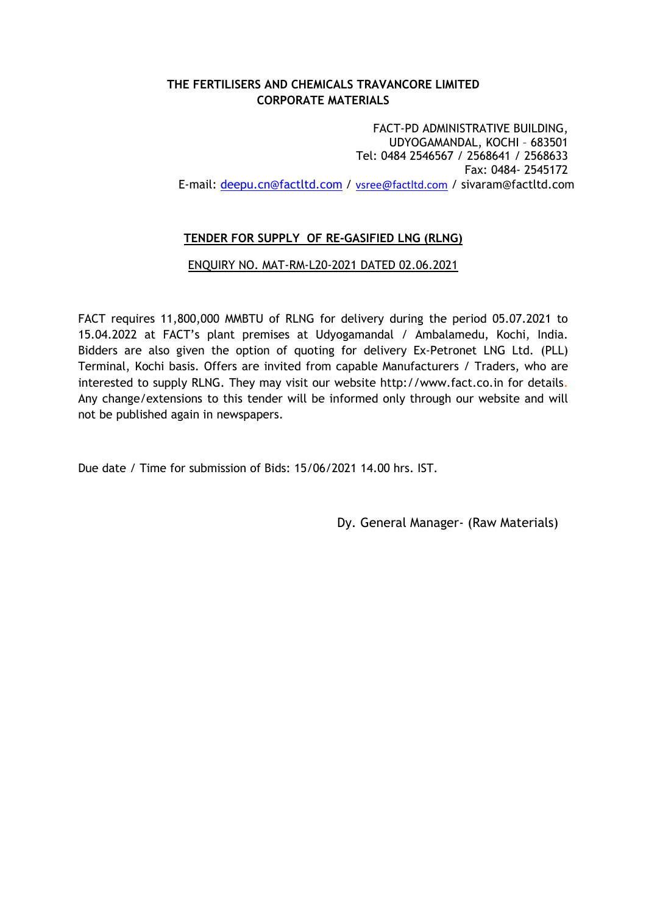# THE FERTILISERS AND CHEMICALS TRAVANCORE LIMITED CORPORATE MATERIALS

 FACT-PD ADMINISTRATIVE BUILDING, UDYOGAMANDAL, KOCHI – 683501 Tel: 0484 2546567 / 2568641 / 2568633 Fax: 0484- 2545172 E-mail: deepu.cn@factltd.com / vsree@factltd.com / sivaram@factltd.com

# TENDER FOR SUPPLY OF RE-GASIFIED LNG (RLNG)

# ENQUIRY NO. MAT-RM-L20-2021 DATED 02.06.2021

FACT requires 11,800,000 MMBTU of RLNG for delivery during the period 05.07.2021 to 15.04.2022 at FACT's plant premises at Udyogamandal / Ambalamedu, Kochi, India. Bidders are also given the option of quoting for delivery Ex-Petronet LNG Ltd. (PLL) Terminal, Kochi basis. Offers are invited from capable Manufacturers / Traders, who are interested to supply RLNG. They may visit our website http://www.fact.co.in for details. Any change/extensions to this tender will be informed only through our website and will not be published again in newspapers.

Due date / Time for submission of Bids: 15/06/2021 14.00 hrs. IST.

Dy. General Manager- (Raw Materials)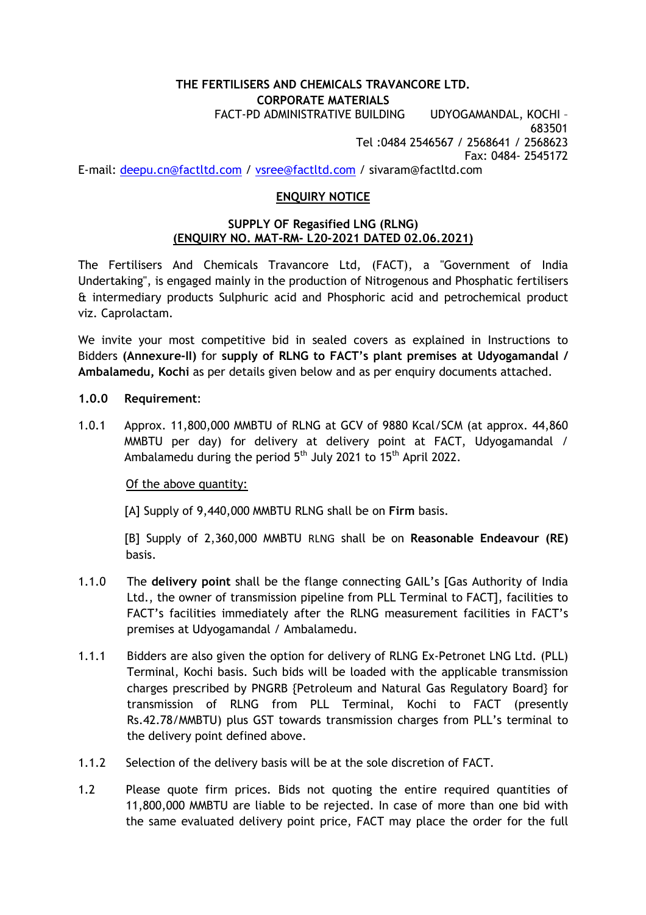# THE FERTILISERS AND CHEMICALS TRAVANCORE LTD. CORPORATE MATERIALS

 FACT-PD ADMINISTRATIVE BUILDING UDYOGAMANDAL, KOCHI – 683501 Tel :0484 2546567 / 2568641 / 2568623 Fax: 0484- 2545172 E-mail: deepu.cn@factltd.com / vsree@factltd.com / sivaram@factltd.com

# ENQUIRY NOTICE

### SUPPLY OF Regasified LNG (RLNG) (ENQUIRY NO. MAT-RM- L20-2021 DATED 02.06.2021)

The Fertilisers And Chemicals Travancore Ltd, (FACT), a "Government of India Undertaking", is engaged mainly in the production of Nitrogenous and Phosphatic fertilisers & intermediary products Sulphuric acid and Phosphoric acid and petrochemical product viz. Caprolactam.

We invite your most competitive bid in sealed covers as explained in Instructions to Bidders (Annexure-II) for supply of RLNG to FACT's plant premises at Udyogamandal / Ambalamedu, Kochi as per details given below and as per enquiry documents attached.

- 1.0.0 Requirement:
- 1.0.1 Approx. 11,800,000 MMBTU of RLNG at GCV of 9880 Kcal/SCM (at approx. 44,860 MMBTU per day) for delivery at delivery point at FACT, Udyogamandal / Ambalamedu during the period  $5<sup>th</sup>$  July 2021 to 15<sup>th</sup> April 2022.

Of the above quantity:

[A] Supply of 9,440,000 MMBTU RLNG shall be on Firm basis.

[B] Supply of 2,360,000 MMBTU RLNG shall be on Reasonable Endeavour (RE) basis.

- 1.1.0 The delivery point shall be the flange connecting GAIL's [Gas Authority of India Ltd., the owner of transmission pipeline from PLL Terminal to FACT], facilities to FACT's facilities immediately after the RLNG measurement facilities in FACT's premises at Udyogamandal / Ambalamedu.
- 1.1.1 Bidders are also given the option for delivery of RLNG Ex-Petronet LNG Ltd. (PLL) Terminal, Kochi basis. Such bids will be loaded with the applicable transmission charges prescribed by PNGRB {Petroleum and Natural Gas Regulatory Board} for transmission of RLNG from PLL Terminal, Kochi to FACT (presently Rs.42.78/MMBTU) plus GST towards transmission charges from PLL's terminal to the delivery point defined above.
- 1.1.2 Selection of the delivery basis will be at the sole discretion of FACT.
- 1.2 Please quote firm prices. Bids not quoting the entire required quantities of 11,800,000 MMBTU are liable to be rejected. In case of more than one bid with the same evaluated delivery point price, FACT may place the order for the full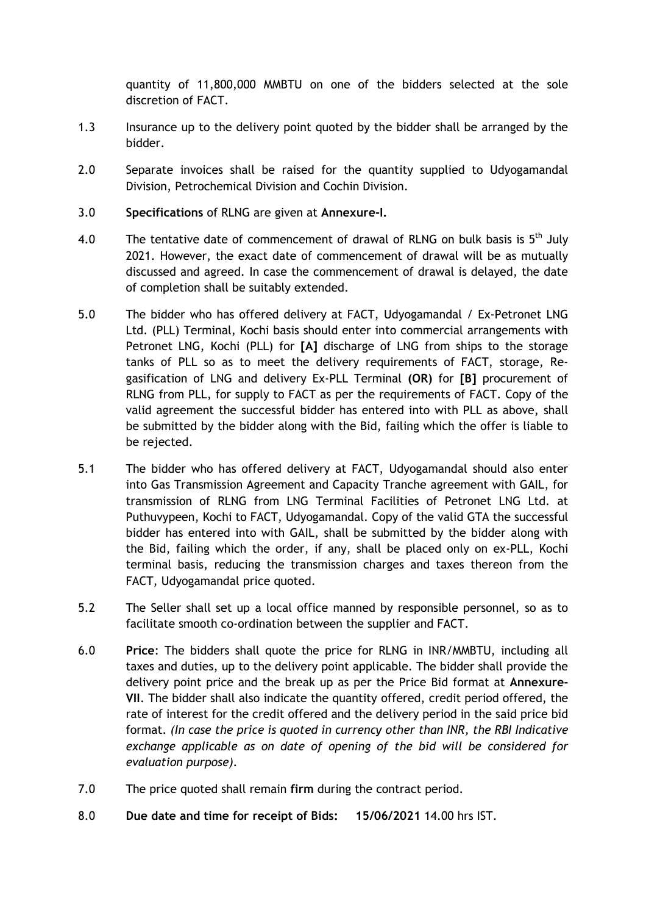quantity of 11,800,000 MMBTU on one of the bidders selected at the sole discretion of FACT.

- 1.3 Insurance up to the delivery point quoted by the bidder shall be arranged by the bidder.
- 2.0 Separate invoices shall be raised for the quantity supplied to Udyogamandal Division, Petrochemical Division and Cochin Division.
- 3.0 Specifications of RLNG are given at Annexure-I.
- 4.0 The tentative date of commencement of drawal of RLNG on bulk basis is  $5<sup>th</sup>$  July 2021. However, the exact date of commencement of drawal will be as mutually discussed and agreed. In case the commencement of drawal is delayed, the date of completion shall be suitably extended.
- 5.0 The bidder who has offered delivery at FACT, Udyogamandal / Ex-Petronet LNG Ltd. (PLL) Terminal, Kochi basis should enter into commercial arrangements with Petronet LNG, Kochi (PLL) for [A] discharge of LNG from ships to the storage tanks of PLL so as to meet the delivery requirements of FACT, storage, Regasification of LNG and delivery Ex-PLL Terminal (OR) for [B] procurement of RLNG from PLL, for supply to FACT as per the requirements of FACT. Copy of the valid agreement the successful bidder has entered into with PLL as above, shall be submitted by the bidder along with the Bid, failing which the offer is liable to be rejected.
- 5.1 The bidder who has offered delivery at FACT, Udyogamandal should also enter into Gas Transmission Agreement and Capacity Tranche agreement with GAIL, for transmission of RLNG from LNG Terminal Facilities of Petronet LNG Ltd. at Puthuvypeen, Kochi to FACT, Udyogamandal. Copy of the valid GTA the successful bidder has entered into with GAIL, shall be submitted by the bidder along with the Bid, failing which the order, if any, shall be placed only on ex-PLL, Kochi terminal basis, reducing the transmission charges and taxes thereon from the FACT, Udyogamandal price quoted.
- 5.2 The Seller shall set up a local office manned by responsible personnel, so as to facilitate smooth co-ordination between the supplier and FACT.
- 6.0 Price: The bidders shall quote the price for RLNG in INR/MMBTU, including all taxes and duties, up to the delivery point applicable. The bidder shall provide the delivery point price and the break up as per the Price Bid format at Annexure-VII. The bidder shall also indicate the quantity offered, credit period offered, the rate of interest for the credit offered and the delivery period in the said price bid format. (In case the price is quoted in currency other than INR, the RBI Indicative exchange applicable as on date of opening of the bid will be considered for evaluation purpose).
- 7.0 The price quoted shall remain firm during the contract period.
- 8.0 Due date and time for receipt of Bids: 15/06/2021 14.00 hrs IST.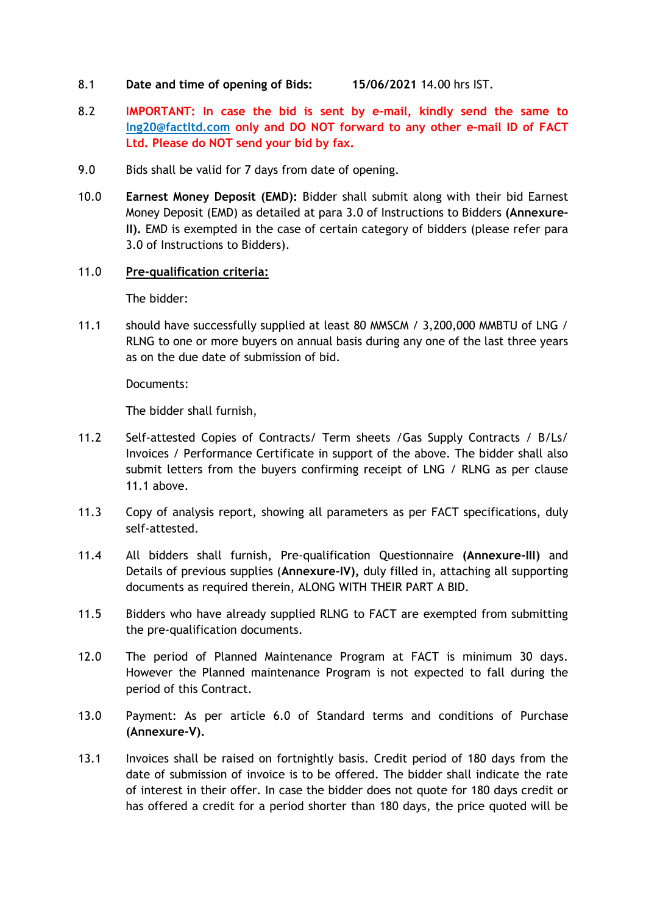- 8.1 Date and time of opening of Bids: 15/06/2021 14.00 hrs IST.
- 8.2 IMPORTANT: In case the bid is sent by e-mail, kindly send the same to lng20@factltd.com only and DO NOT forward to any other e-mail ID of FACT Ltd. Please do NOT send your bid by fax.
- 9.0 Bids shall be valid for 7 days from date of opening.
- 10.0 Earnest Money Deposit (EMD): Bidder shall submit along with their bid Earnest Money Deposit (EMD) as detailed at para 3.0 of Instructions to Bidders (Annexure-II). EMD is exempted in the case of certain category of bidders (please refer para 3.0 of Instructions to Bidders).

### 11.0 Pre-qualification criteria:

The bidder:

11.1 should have successfully supplied at least 80 MMSCM / 3,200,000 MMBTU of LNG / RLNG to one or more buyers on annual basis during any one of the last three years as on the due date of submission of bid.

Documents:

The bidder shall furnish,

- 11.2 Self-attested Copies of Contracts/ Term sheets /Gas Supply Contracts / B/Ls/ Invoices / Performance Certificate in support of the above. The bidder shall also submit letters from the buyers confirming receipt of LNG / RLNG as per clause 11.1 above
- 11.3 Copy of analysis report, showing all parameters as per FACT specifications, duly self-attested.
- 11.4 All bidders shall furnish, Pre-qualification Questionnaire (Annexure-III) and Details of previous supplies (Annexure-IV), duly filled in, attaching all supporting documents as required therein, ALONG WITH THEIR PART A BID.
- 11.5 Bidders who have already supplied RLNG to FACT are exempted from submitting the pre-qualification documents.
- 12.0 The period of Planned Maintenance Program at FACT is minimum 30 days. However the Planned maintenance Program is not expected to fall during the period of this Contract.
- 13.0 Payment: As per article 6.0 of Standard terms and conditions of Purchase (Annexure-V).
- 13.1 Invoices shall be raised on fortnightly basis. Credit period of 180 days from the date of submission of invoice is to be offered. The bidder shall indicate the rate of interest in their offer. In case the bidder does not quote for 180 days credit or has offered a credit for a period shorter than 180 days, the price quoted will be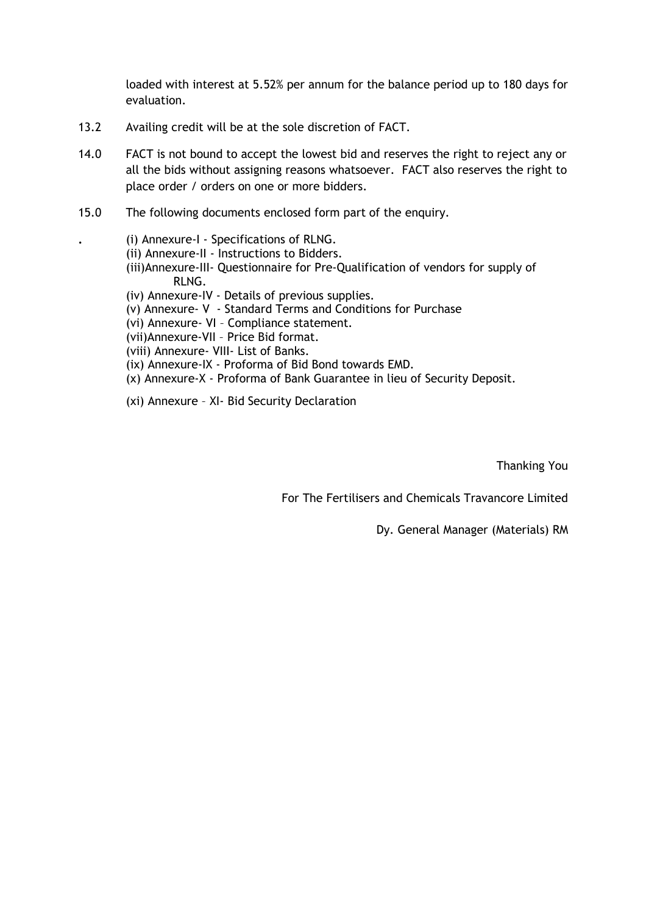loaded with interest at 5.52% per annum for the balance period up to 180 days for evaluation.

- 13.2 Availing credit will be at the sole discretion of FACT.
- 14.0 FACT is not bound to accept the lowest bid and reserves the right to reject any or all the bids without assigning reasons whatsoever. FACT also reserves the right to place order / orders on one or more bidders.
- 15.0 The following documents enclosed form part of the enquiry.
	- . (i) Annexure-I Specifications of RLNG.
	- (ii) Annexure-II Instructions to Bidders.
	- (iii)Annexure-III- Questionnaire for Pre-Qualification of vendors for supply of RLNG.
	- (iv) Annexure-IV Details of previous supplies.
	- (v) Annexure- V Standard Terms and Conditions for Purchase
	- (vi) Annexure- VI Compliance statement.
	- (vii)Annexure-VII Price Bid format.
	- (viii) Annexure- VIII- List of Banks.
	- (ix) Annexure-IX Proforma of Bid Bond towards EMD.
	- (x) Annexure-X Proforma of Bank Guarantee in lieu of Security Deposit.
	- (xi) Annexure XI- Bid Security Declaration

Thanking You

For The Fertilisers and Chemicals Travancore Limited

Dy. General Manager (Materials) RM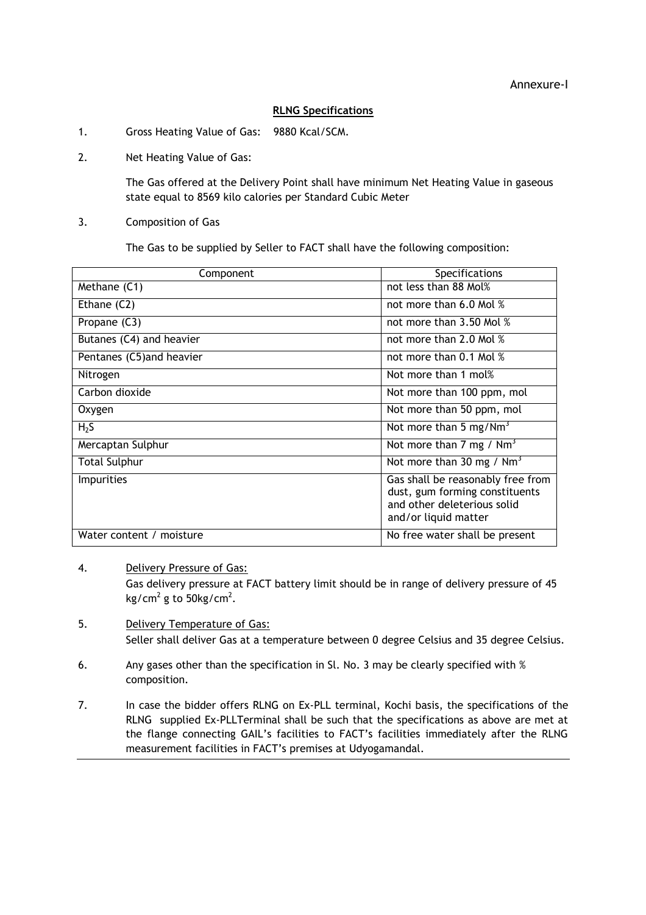#### RLNG Specifications

- 1. Gross Heating Value of Gas: 9880 Kcal/SCM.
- 2. Net Heating Value of Gas:

The Gas offered at the Delivery Point shall have minimum Net Heating Value in gaseous state equal to 8569 kilo calories per Standard Cubic Meter

3. Composition of Gas

The Gas to be supplied by Seller to FACT shall have the following composition:

| Component                 | <b>Specifications</b>                                                                                                      |  |
|---------------------------|----------------------------------------------------------------------------------------------------------------------------|--|
| Methane (C1)              | not less than 88 Mol%                                                                                                      |  |
| Ethane (C2)               | not more than 6.0 Mol %                                                                                                    |  |
| Propane (C3)              | not more than 3.50 Mol %                                                                                                   |  |
| Butanes (C4) and heavier  | not more than 2.0 Mol %                                                                                                    |  |
| Pentanes (C5) and heavier | not more than 0.1 Mol %                                                                                                    |  |
| Nitrogen                  | Not more than 1 mol%                                                                                                       |  |
| Carbon dioxide            | Not more than 100 ppm, mol                                                                                                 |  |
| Oxygen                    | Not more than 50 ppm, mol                                                                                                  |  |
| H <sub>2</sub> S          | Not more than 5 mg/Nm <sup>3</sup>                                                                                         |  |
| Mercaptan Sulphur         | Not more than 7 mg / $Nm3$                                                                                                 |  |
| <b>Total Sulphur</b>      | Not more than 30 mg / $Nm3$                                                                                                |  |
| <b>Impurities</b>         | Gas shall be reasonably free from<br>dust, gum forming constituents<br>and other deleterious solid<br>and/or liquid matter |  |
| Water content / moisture  | No free water shall be present                                                                                             |  |

#### 4. Delivery Pressure of Gas:

Gas delivery pressure at FACT battery limit should be in range of delivery pressure of 45 kg/cm<sup>2</sup> g to 50kg/cm<sup>2</sup>.

- 5. Delivery Temperature of Gas: Seller shall deliver Gas at a temperature between 0 degree Celsius and 35 degree Celsius.
- 6. Any gases other than the specification in Sl. No. 3 may be clearly specified with % composition.
- 7. In case the bidder offers RLNG on Ex-PLL terminal, Kochi basis, the specifications of the RLNG supplied Ex-PLLTerminal shall be such that the specifications as above are met at the flange connecting GAIL's facilities to FACT's facilities immediately after the RLNG measurement facilities in FACT's premises at Udyogamandal.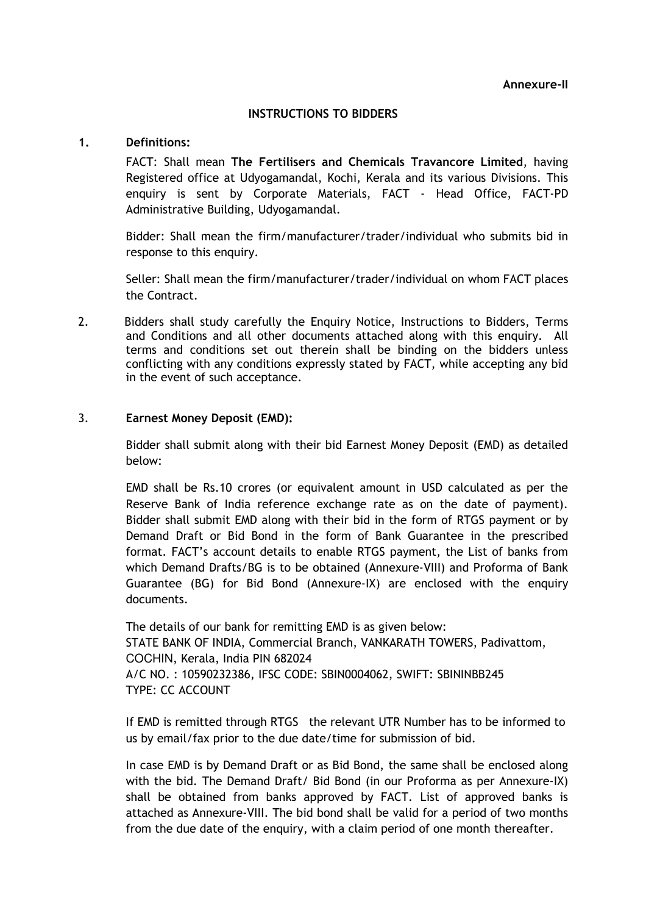#### INSTRUCTIONS TO BIDDERS

#### 1. Definitions:

FACT: Shall mean The Fertilisers and Chemicals Travancore Limited, having Registered office at Udyogamandal, Kochi, Kerala and its various Divisions. This enquiry is sent by Corporate Materials, FACT - Head Office, FACT-PD Administrative Building, Udyogamandal.

Bidder: Shall mean the firm/manufacturer/trader/individual who submits bid in response to this enquiry.

Seller: Shall mean the firm/manufacturer/trader/individual on whom FACT places the Contract.

2. Bidders shall study carefully the Enquiry Notice, Instructions to Bidders, Terms and Conditions and all other documents attached along with this enquiry. All terms and conditions set out therein shall be binding on the bidders unless conflicting with any conditions expressly stated by FACT, while accepting any bid in the event of such acceptance.

# 3. Earnest Money Deposit (EMD):

Bidder shall submit along with their bid Earnest Money Deposit (EMD) as detailed below:

EMD shall be Rs.10 crores (or equivalent amount in USD calculated as per the Reserve Bank of India reference exchange rate as on the date of payment). Bidder shall submit EMD along with their bid in the form of RTGS payment or by Demand Draft or Bid Bond in the form of Bank Guarantee in the prescribed format. FACT's account details to enable RTGS payment, the List of banks from which Demand Drafts/BG is to be obtained (Annexure-VIII) and Proforma of Bank Guarantee (BG) for Bid Bond (Annexure-IX) are enclosed with the enquiry documents.

The details of our bank for remitting EMD is as given below: STATE BANK OF INDIA, Commercial Branch, VANKARATH TOWERS, Padivattom, COCHIN, Kerala, India PIN 682024 A/C NO. : 10590232386, IFSC CODE: SBIN0004062, SWIFT: SBININBB245 TYPE: CC ACCOUNT

If EMD is remitted through RTGS the relevant UTR Number has to be informed to us by email/fax prior to the due date/time for submission of bid.

In case EMD is by Demand Draft or as Bid Bond, the same shall be enclosed along with the bid. The Demand Draft/ Bid Bond (in our Proforma as per Annexure-IX) shall be obtained from banks approved by FACT. List of approved banks is attached as Annexure-VIII. The bid bond shall be valid for a period of two months from the due date of the enquiry, with a claim period of one month thereafter.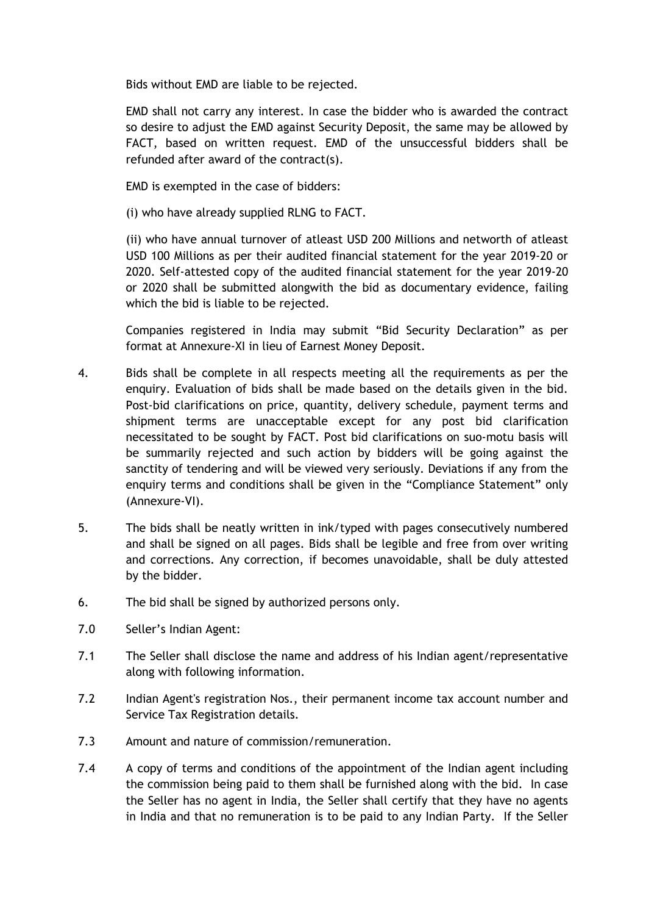Bids without EMD are liable to be rejected.

EMD shall not carry any interest. In case the bidder who is awarded the contract so desire to adjust the EMD against Security Deposit, the same may be allowed by FACT, based on written request. EMD of the unsuccessful bidders shall be refunded after award of the contract(s).

EMD is exempted in the case of bidders:

(i) who have already supplied RLNG to FACT.

(ii) who have annual turnover of atleast USD 200 Millions and networth of atleast USD 100 Millions as per their audited financial statement for the year 2019-20 or 2020. Self-attested copy of the audited financial statement for the year 2019-20 or 2020 shall be submitted alongwith the bid as documentary evidence, failing which the bid is liable to be rejected.

Companies registered in India may submit "Bid Security Declaration" as per format at Annexure-XI in lieu of Earnest Money Deposit.

- 4. Bids shall be complete in all respects meeting all the requirements as per the enquiry. Evaluation of bids shall be made based on the details given in the bid. Post-bid clarifications on price, quantity, delivery schedule, payment terms and shipment terms are unacceptable except for any post bid clarification necessitated to be sought by FACT. Post bid clarifications on suo-motu basis will be summarily rejected and such action by bidders will be going against the sanctity of tendering and will be viewed very seriously. Deviations if any from the enquiry terms and conditions shall be given in the "Compliance Statement" only (Annexure-VI).
- 5. The bids shall be neatly written in ink/typed with pages consecutively numbered and shall be signed on all pages. Bids shall be legible and free from over writing and corrections. Any correction, if becomes unavoidable, shall be duly attested by the bidder.
- 6. The bid shall be signed by authorized persons only.
- 7.0 Seller's Indian Agent:
- 7.1 The Seller shall disclose the name and address of his Indian agent/representative along with following information.
- 7.2 Indian Agent's registration Nos., their permanent income tax account number and Service Tax Registration details.
- 7.3 Amount and nature of commission/remuneration.
- 7.4 A copy of terms and conditions of the appointment of the Indian agent including the commission being paid to them shall be furnished along with the bid. In case the Seller has no agent in India, the Seller shall certify that they have no agents in India and that no remuneration is to be paid to any Indian Party. If the Seller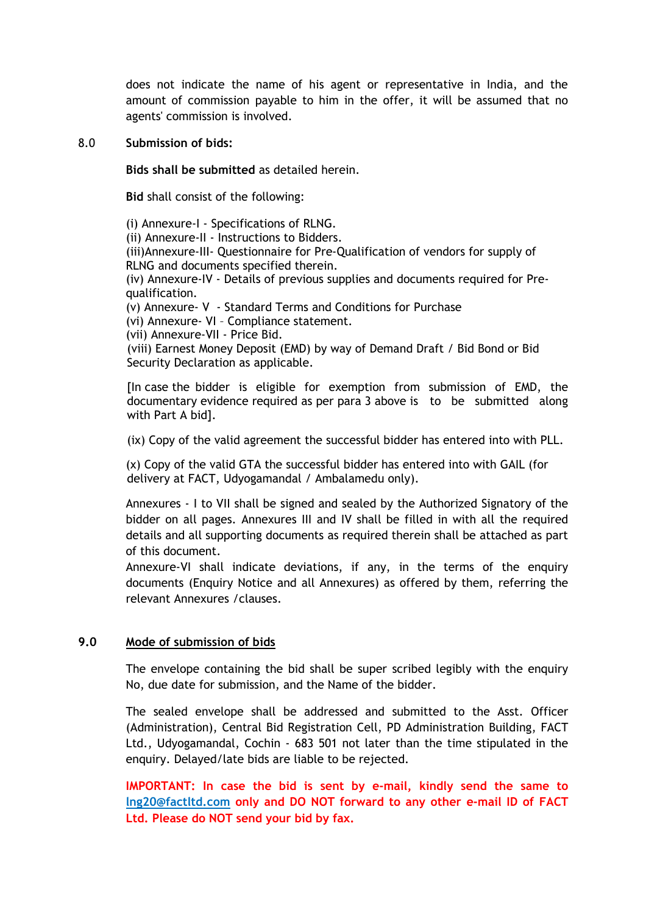does not indicate the name of his agent or representative in India, and the amount of commission payable to him in the offer, it will be assumed that no agents' commission is involved.

#### 8.0 Submission of bids:

Bids shall be submitted as detailed herein.

Bid shall consist of the following:

(i) Annexure-I - Specifications of RLNG. (ii) Annexure-II - Instructions to Bidders. (iii)Annexure-III- Questionnaire for Pre-Qualification of vendors for supply of RLNG and documents specified therein. (iv) Annexure-IV - Details of previous supplies and documents required for Prequalification. (v) Annexure- V - Standard Terms and Conditions for Purchase (vi) Annexure- VI – Compliance statement. (vii) Annexure-VII - Price Bid. (viii) Earnest Money Deposit (EMD) by way of Demand Draft / Bid Bond or Bid Security Declaration as applicable.

 [In case the bidder is eligible for exemption from submission of EMD, the documentary evidence required as per para 3 above is to be submitted along with Part A bid].

(ix) Copy of the valid agreement the successful bidder has entered into with PLL.

(x) Copy of the valid GTA the successful bidder has entered into with GAIL (for delivery at FACT, Udyogamandal / Ambalamedu only).

Annexures - I to VII shall be signed and sealed by the Authorized Signatory of the bidder on all pages. Annexures III and IV shall be filled in with all the required details and all supporting documents as required therein shall be attached as part of this document.

Annexure-VI shall indicate deviations, if any, in the terms of the enquiry documents (Enquiry Notice and all Annexures) as offered by them, referring the relevant Annexures /clauses.

### 9.0 Mode of submission of bids

 The envelope containing the bid shall be super scribed legibly with the enquiry No, due date for submission, and the Name of the bidder.

The sealed envelope shall be addressed and submitted to the Asst. Officer (Administration), Central Bid Registration Cell, PD Administration Building, FACT Ltd., Udyogamandal, Cochin - 683 501 not later than the time stipulated in the enquiry. Delayed/late bids are liable to be rejected.

IMPORTANT: In case the bid is sent by e-mail, kindly send the same to lng20@factltd.com only and DO NOT forward to any other e-mail ID of FACT Ltd. Please do NOT send your bid by fax.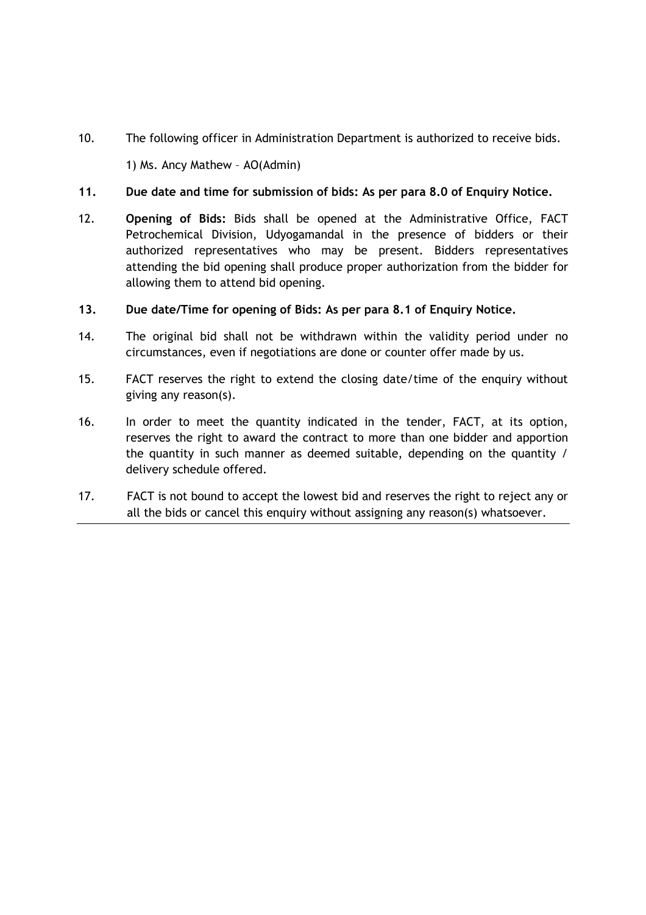10. The following officer in Administration Department is authorized to receive bids.

1) Ms. Ancy Mathew – AO(Admin)

# 11. Due date and time for submission of bids: As per para 8.0 of Enquiry Notice.

- 12. Opening of Bids: Bids shall be opened at the Administrative Office, FACT Petrochemical Division, Udyogamandal in the presence of bidders or their authorized representatives who may be present. Bidders representatives attending the bid opening shall produce proper authorization from the bidder for allowing them to attend bid opening.
- 13. Due date/Time for opening of Bids: As per para 8.1 of Enquiry Notice.
- 14. The original bid shall not be withdrawn within the validity period under no circumstances, even if negotiations are done or counter offer made by us.
- 15. FACT reserves the right to extend the closing date/time of the enquiry without giving any reason(s).
- 16. In order to meet the quantity indicated in the tender, FACT, at its option, reserves the right to award the contract to more than one bidder and apportion the quantity in such manner as deemed suitable, depending on the quantity / delivery schedule offered.
- 17. FACT is not bound to accept the lowest bid and reserves the right to reject any or all the bids or cancel this enquiry without assigning any reason(s) whatsoever.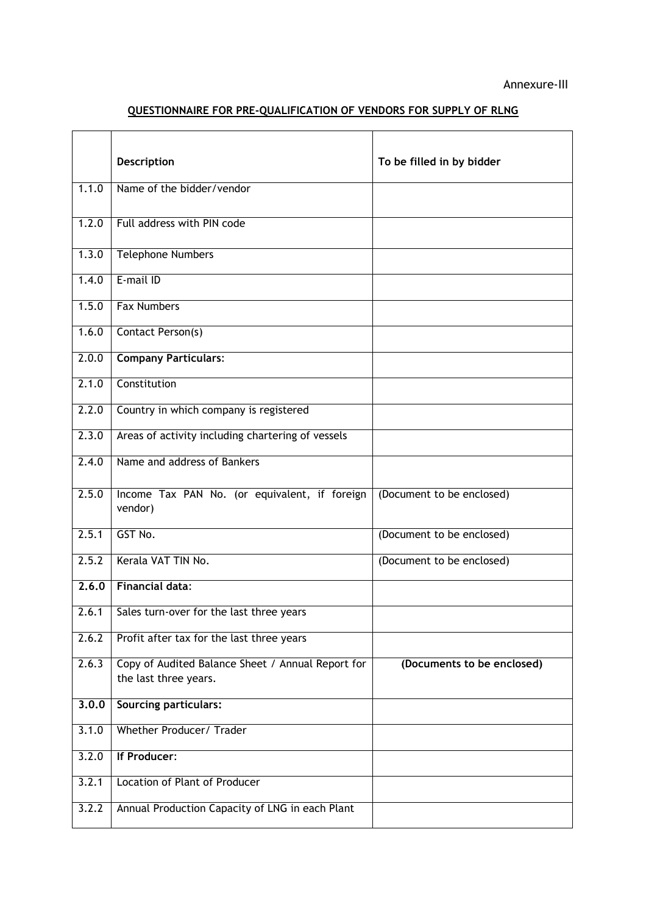# QUESTIONNAIRE FOR PRE-QUALIFICATION OF VENDORS FOR SUPPLY OF RLNG

|       | Description                                                                | To be filled in by bidder  |
|-------|----------------------------------------------------------------------------|----------------------------|
| 1.1.0 | Name of the bidder/vendor                                                  |                            |
| 1.2.0 | Full address with PIN code                                                 |                            |
| 1.3.0 | <b>Telephone Numbers</b>                                                   |                            |
| 1.4.0 | E-mail ID                                                                  |                            |
| 1.5.0 | <b>Fax Numbers</b>                                                         |                            |
| 1.6.0 | Contact Person(s)                                                          |                            |
| 2.0.0 | <b>Company Particulars:</b>                                                |                            |
| 2.1.0 | Constitution                                                               |                            |
| 2.2.0 | Country in which company is registered                                     |                            |
| 2.3.0 | Areas of activity including chartering of vessels                          |                            |
| 2.4.0 | Name and address of Bankers                                                |                            |
| 2.5.0 | Income Tax PAN No. (or equivalent, if foreign<br>vendor)                   | (Document to be enclosed)  |
| 2.5.1 | GST No.                                                                    | (Document to be enclosed)  |
| 2.5.2 | Kerala VAT TIN No.                                                         | (Document to be enclosed)  |
| 2,6,0 | <b>Financial data:</b>                                                     |                            |
|       | 2.6.1   Sales turn-over for the last three years                           |                            |
| 2.6.2 | Profit after tax for the last three years                                  |                            |
| 2.6.3 | Copy of Audited Balance Sheet / Annual Report for<br>the last three years. | (Documents to be enclosed) |
| 3.0.0 | <b>Sourcing particulars:</b>                                               |                            |
| 3.1.0 | Whether Producer/ Trader                                                   |                            |
| 3.2.0 | If Producer:                                                               |                            |
| 3.2.1 | <b>Location of Plant of Producer</b>                                       |                            |
| 3.2.2 | Annual Production Capacity of LNG in each Plant                            |                            |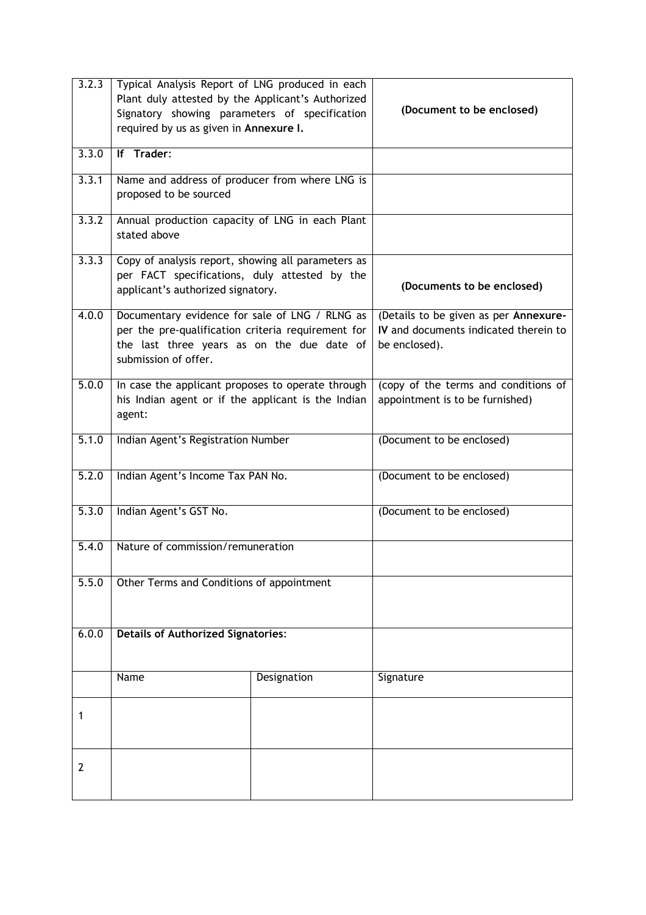| 3.2.3          | Typical Analysis Report of LNG produced in each<br>Plant duly attested by the Applicant's Authorized<br>Signatory showing parameters of specification<br>required by us as given in Annexure I. |             | (Document to be enclosed)                                                                       |  |
|----------------|-------------------------------------------------------------------------------------------------------------------------------------------------------------------------------------------------|-------------|-------------------------------------------------------------------------------------------------|--|
| 3.3.0          | If Trader:                                                                                                                                                                                      |             |                                                                                                 |  |
| 3.3.1          | Name and address of producer from where LNG is<br>proposed to be sourced                                                                                                                        |             |                                                                                                 |  |
| 3.3.2          | Annual production capacity of LNG in each Plant<br>stated above                                                                                                                                 |             |                                                                                                 |  |
| 3.3.3          | Copy of analysis report, showing all parameters as<br>per FACT specifications, duly attested by the<br>applicant's authorized signatory.                                                        |             | (Documents to be enclosed)                                                                      |  |
| 4.0.0          | Documentary evidence for sale of LNG / RLNG as<br>per the pre-qualification criteria requirement for<br>the last three years as on the due date of<br>submission of offer.                      |             | (Details to be given as per Annexure-<br>IV and documents indicated therein to<br>be enclosed). |  |
| 5.0.0          | In case the applicant proposes to operate through<br>his Indian agent or if the applicant is the Indian<br>agent:                                                                               |             | (copy of the terms and conditions of<br>appointment is to be furnished)                         |  |
| 5.1.0          | Indian Agent's Registration Number                                                                                                                                                              |             | (Document to be enclosed)                                                                       |  |
| 5.2.0          | Indian Agent's Income Tax PAN No.                                                                                                                                                               |             | (Document to be enclosed)                                                                       |  |
| 5.3.0          | Indian Agent's GST No.                                                                                                                                                                          |             | (Document to be enclosed)                                                                       |  |
| 5.4.0          | Nature of commission/remuneration                                                                                                                                                               |             |                                                                                                 |  |
| 5.5.0          | Other Terms and Conditions of appointment                                                                                                                                                       |             |                                                                                                 |  |
| 6.0.0          | <b>Details of Authorized Signatories:</b>                                                                                                                                                       |             |                                                                                                 |  |
|                | Name                                                                                                                                                                                            | Designation | Signature                                                                                       |  |
| 1              |                                                                                                                                                                                                 |             |                                                                                                 |  |
| $\overline{2}$ |                                                                                                                                                                                                 |             |                                                                                                 |  |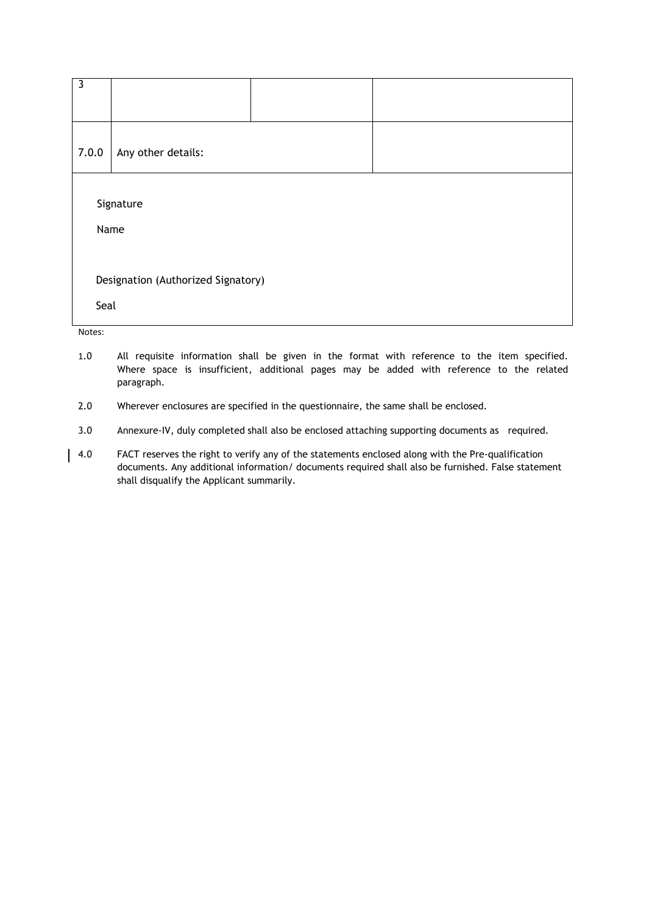| $\overline{\mathbf{3}}$            |                    |  |  |  |
|------------------------------------|--------------------|--|--|--|
| 7.0.0                              | Any other details: |  |  |  |
| Signature                          |                    |  |  |  |
| Name                               |                    |  |  |  |
| Designation (Authorized Signatory) |                    |  |  |  |
| Seal<br>Notes:                     |                    |  |  |  |

- 1.0 All requisite information shall be given in the format with reference to the item specified. Where space is insufficient, additional pages may be added with reference to the related paragraph.
- 2.0 Wherever enclosures are specified in the questionnaire, the same shall be enclosed.
- 3.0 Annexure-IV, duly completed shall also be enclosed attaching supporting documents as required.
- 4.0 FACT reserves the right to verify any of the statements enclosed along with the Pre-qualification documents. Any additional information/ documents required shall also be furnished. False statement shall disqualify the Applicant summarily.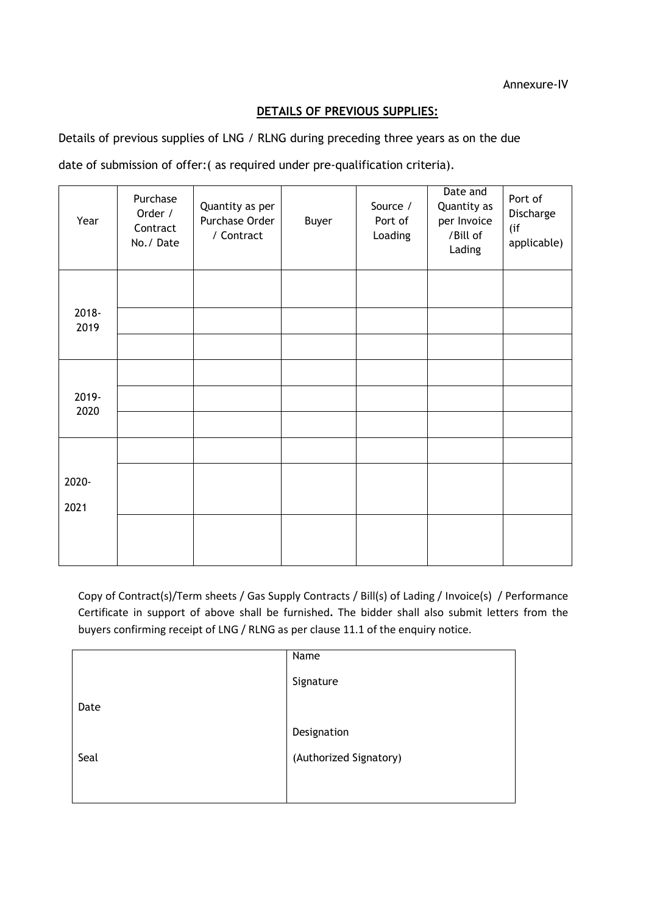# DETAILS OF PREVIOUS SUPPLIES:

Details of previous supplies of LNG / RLNG during preceding three years as on the due

date of submission of offer:( as required under pre-qualification criteria).

| Year  | Purchase<br>Order /<br>Contract<br>No./Date | Quantity as per<br>Purchase Order<br>/ Contract | Buyer | Source /<br>Port of<br>Loading | Date and<br>Quantity as<br>per Invoice<br>/Bill of<br>Lading | Port of<br>Discharge<br>(if<br>applicable) |
|-------|---------------------------------------------|-------------------------------------------------|-------|--------------------------------|--------------------------------------------------------------|--------------------------------------------|
| 2018- |                                             |                                                 |       |                                |                                                              |                                            |
| 2019  |                                             |                                                 |       |                                |                                                              |                                            |
|       |                                             |                                                 |       |                                |                                                              |                                            |
|       |                                             |                                                 |       |                                |                                                              |                                            |
| 2019- |                                             |                                                 |       |                                |                                                              |                                            |
| 2020  |                                             |                                                 |       |                                |                                                              |                                            |
|       |                                             |                                                 |       |                                |                                                              |                                            |
| 2020- |                                             |                                                 |       |                                |                                                              |                                            |
| 2021  |                                             |                                                 |       |                                |                                                              |                                            |
|       |                                             |                                                 |       |                                |                                                              |                                            |
|       |                                             |                                                 |       |                                |                                                              |                                            |

Copy of Contract(s)/Term sheets / Gas Supply Contracts / Bill(s) of Lading / Invoice(s) / Performance Certificate in support of above shall be furnished. The bidder shall also submit letters from the buyers confirming receipt of LNG / RLNG as per clause 11.1 of the enquiry notice.

|      | Name                   |
|------|------------------------|
|      | Signature              |
| Date |                        |
|      | Designation            |
| Seal | (Authorized Signatory) |
|      |                        |
|      |                        |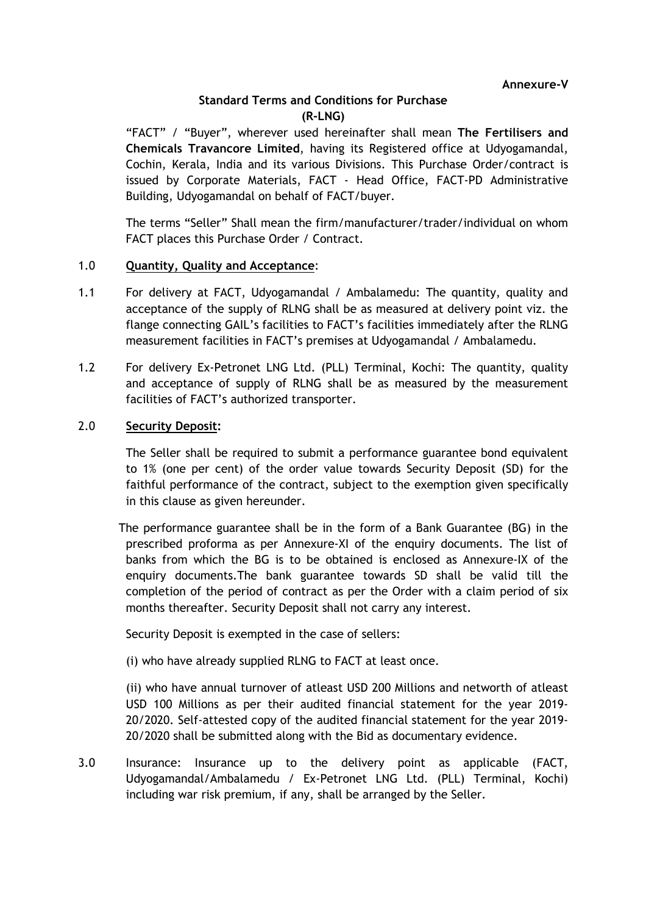# Standard Terms and Conditions for Purchase (R-LNG)

"FACT" / "Buyer", wherever used hereinafter shall mean The Fertilisers and Chemicals Travancore Limited, having its Registered office at Udyogamandal, Cochin, Kerala, India and its various Divisions. This Purchase Order/contract is issued by Corporate Materials, FACT - Head Office, FACT-PD Administrative Building, Udyogamandal on behalf of FACT/buyer.

The terms "Seller" Shall mean the firm/manufacturer/trader/individual on whom FACT places this Purchase Order / Contract.

# 1.0 Quantity, Quality and Acceptance:

- 1.1 For delivery at FACT, Udyogamandal / Ambalamedu: The quantity, quality and acceptance of the supply of RLNG shall be as measured at delivery point viz. the flange connecting GAIL's facilities to FACT's facilities immediately after the RLNG measurement facilities in FACT's premises at Udyogamandal / Ambalamedu.
- 1.2 For delivery Ex-Petronet LNG Ltd. (PLL) Terminal, Kochi: The quantity, quality and acceptance of supply of RLNG shall be as measured by the measurement facilities of FACT's authorized transporter.

# 2.0 Security Deposit:

The Seller shall be required to submit a performance guarantee bond equivalent to 1% (one per cent) of the order value towards Security Deposit (SD) for the faithful performance of the contract, subject to the exemption given specifically in this clause as given hereunder.

 The performance guarantee shall be in the form of a Bank Guarantee (BG) in the prescribed proforma as per Annexure-XI of the enquiry documents. The list of banks from which the BG is to be obtained is enclosed as Annexure-IX of the enquiry documents.The bank guarantee towards SD shall be valid till the completion of the period of contract as per the Order with a claim period of six months thereafter. Security Deposit shall not carry any interest.

Security Deposit is exempted in the case of sellers:

(i) who have already supplied RLNG to FACT at least once.

(ii) who have annual turnover of atleast USD 200 Millions and networth of atleast USD 100 Millions as per their audited financial statement for the year 2019- 20/2020. Self-attested copy of the audited financial statement for the year 2019- 20/2020 shall be submitted along with the Bid as documentary evidence.

3.0 Insurance: Insurance up to the delivery point as applicable (FACT, Udyogamandal/Ambalamedu / Ex-Petronet LNG Ltd. (PLL) Terminal, Kochi) including war risk premium, if any, shall be arranged by the Seller.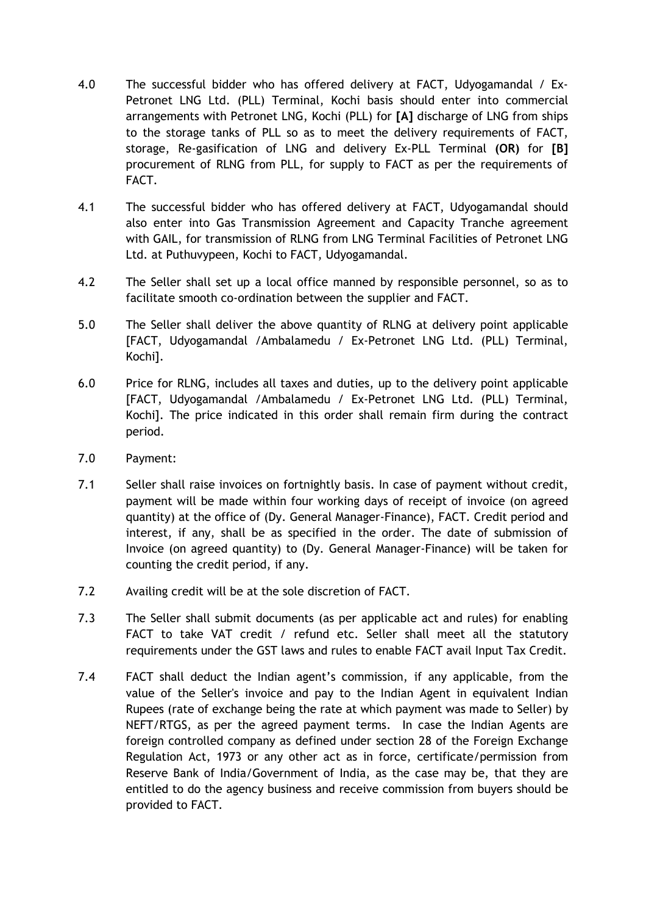- 4.0 The successful bidder who has offered delivery at FACT, Udyogamandal / Ex-Petronet LNG Ltd. (PLL) Terminal, Kochi basis should enter into commercial arrangements with Petronet LNG, Kochi (PLL) for [A] discharge of LNG from ships to the storage tanks of PLL so as to meet the delivery requirements of FACT, storage, Re-gasification of LNG and delivery Ex-PLL Terminal (OR) for [B] procurement of RLNG from PLL, for supply to FACT as per the requirements of FACT.
- 4.1 The successful bidder who has offered delivery at FACT, Udyogamandal should also enter into Gas Transmission Agreement and Capacity Tranche agreement with GAIL, for transmission of RLNG from LNG Terminal Facilities of Petronet LNG Ltd. at Puthuvypeen, Kochi to FACT, Udyogamandal.
- 4.2 The Seller shall set up a local office manned by responsible personnel, so as to facilitate smooth co-ordination between the supplier and FACT.
- 5.0 The Seller shall deliver the above quantity of RLNG at delivery point applicable [FACT, Udyogamandal /Ambalamedu / Ex-Petronet LNG Ltd. (PLL) Terminal, Kochi].
- 6.0 Price for RLNG, includes all taxes and duties, up to the delivery point applicable [FACT, Udyogamandal /Ambalamedu / Ex-Petronet LNG Ltd. (PLL) Terminal, Kochi]. The price indicated in this order shall remain firm during the contract period.
- 7.0 Payment:
- 7.1 Seller shall raise invoices on fortnightly basis. In case of payment without credit, payment will be made within four working days of receipt of invoice (on agreed quantity) at the office of (Dy. General Manager-Finance), FACT. Credit period and interest, if any, shall be as specified in the order. The date of submission of Invoice (on agreed quantity) to (Dy. General Manager-Finance) will be taken for counting the credit period, if any.
- 7.2 Availing credit will be at the sole discretion of FACT.
- 7.3 The Seller shall submit documents (as per applicable act and rules) for enabling FACT to take VAT credit / refund etc. Seller shall meet all the statutory requirements under the GST laws and rules to enable FACT avail Input Tax Credit.
- 7.4 FACT shall deduct the Indian agent's commission, if any applicable, from the value of the Seller's invoice and pay to the Indian Agent in equivalent Indian Rupees (rate of exchange being the rate at which payment was made to Seller) by NEFT/RTGS, as per the agreed payment terms. In case the Indian Agents are foreign controlled company as defined under section 28 of the Foreign Exchange Regulation Act, 1973 or any other act as in force, certificate/permission from Reserve Bank of India/Government of India, as the case may be, that they are entitled to do the agency business and receive commission from buyers should be provided to FACT.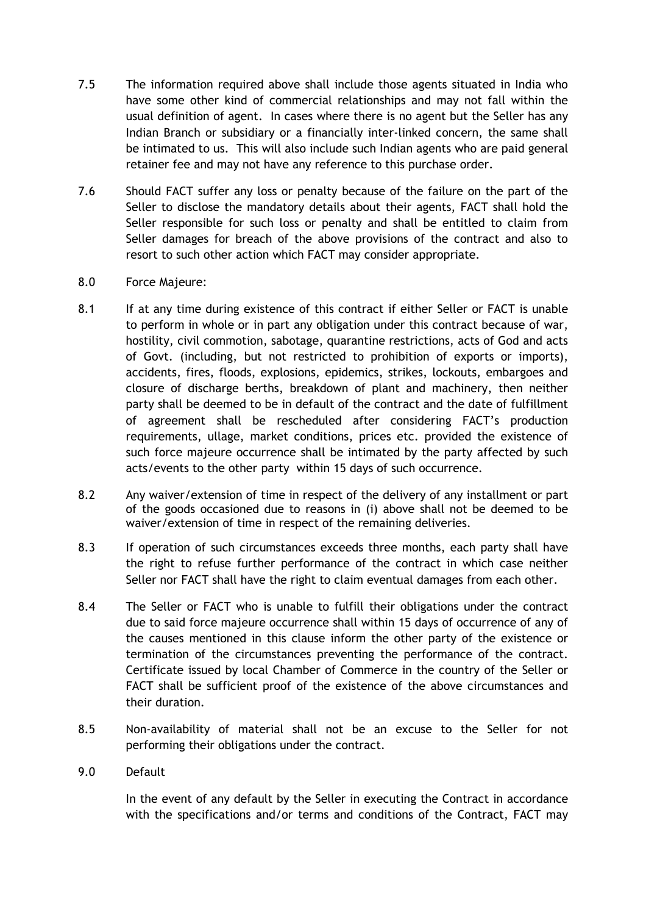- 7.5 The information required above shall include those agents situated in India who have some other kind of commercial relationships and may not fall within the usual definition of agent. In cases where there is no agent but the Seller has any Indian Branch or subsidiary or a financially inter-linked concern, the same shall be intimated to us. This will also include such Indian agents who are paid general retainer fee and may not have any reference to this purchase order.
- 7.6 Should FACT suffer any loss or penalty because of the failure on the part of the Seller to disclose the mandatory details about their agents, FACT shall hold the Seller responsible for such loss or penalty and shall be entitled to claim from Seller damages for breach of the above provisions of the contract and also to resort to such other action which FACT may consider appropriate.
- 8.0 Force Majeure:
- 8.1 If at any time during existence of this contract if either Seller or FACT is unable to perform in whole or in part any obligation under this contract because of war, hostility, civil commotion, sabotage, quarantine restrictions, acts of God and acts of Govt. (including, but not restricted to prohibition of exports or imports), accidents, fires, floods, explosions, epidemics, strikes, lockouts, embargoes and closure of discharge berths, breakdown of plant and machinery, then neither party shall be deemed to be in default of the contract and the date of fulfillment of agreement shall be rescheduled after considering FACT's production requirements, ullage, market conditions, prices etc. provided the existence of such force majeure occurrence shall be intimated by the party affected by such acts/events to the other party within 15 days of such occurrence.
- 8.2 Any waiver/extension of time in respect of the delivery of any installment or part of the goods occasioned due to reasons in (i) above shall not be deemed to be waiver/extension of time in respect of the remaining deliveries.
- 8.3 If operation of such circumstances exceeds three months, each party shall have the right to refuse further performance of the contract in which case neither Seller nor FACT shall have the right to claim eventual damages from each other.
- 8.4 The Seller or FACT who is unable to fulfill their obligations under the contract due to said force majeure occurrence shall within 15 days of occurrence of any of the causes mentioned in this clause inform the other party of the existence or termination of the circumstances preventing the performance of the contract. Certificate issued by local Chamber of Commerce in the country of the Seller or FACT shall be sufficient proof of the existence of the above circumstances and their duration.
- 8.5 Non-availability of material shall not be an excuse to the Seller for not performing their obligations under the contract.
- 9.0 Default

 In the event of any default by the Seller in executing the Contract in accordance with the specifications and/or terms and conditions of the Contract, FACT may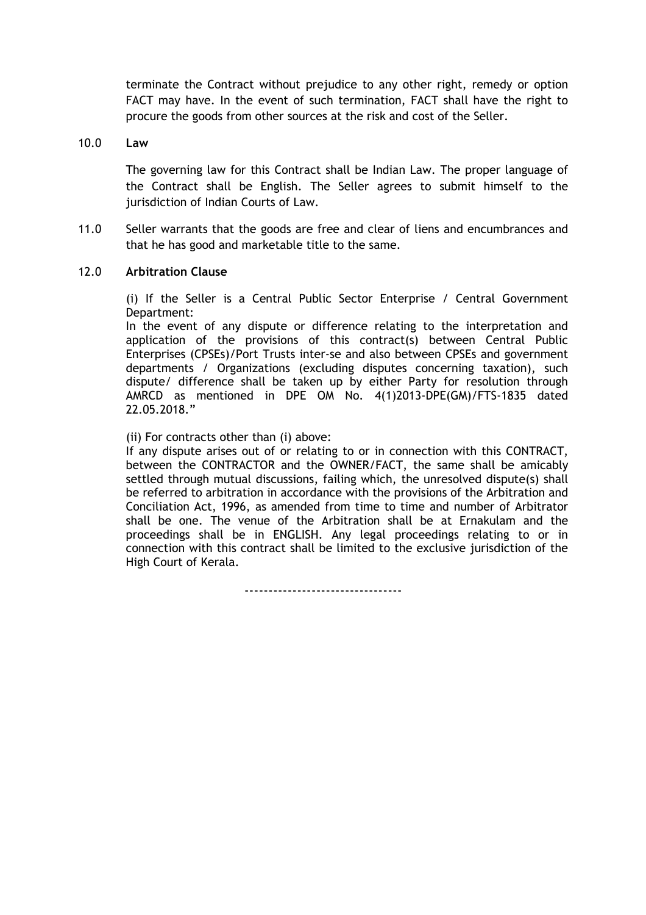terminate the Contract without prejudice to any other right, remedy or option FACT may have. In the event of such termination, FACT shall have the right to procure the goods from other sources at the risk and cost of the Seller.

### 10.0 Law

 The governing law for this Contract shall be Indian Law. The proper language of the Contract shall be English. The Seller agrees to submit himself to the jurisdiction of Indian Courts of Law.

11.0 Seller warrants that the goods are free and clear of liens and encumbrances and that he has good and marketable title to the same.

### 12.0 Arbitration Clause

 (i) If the Seller is a Central Public Sector Enterprise / Central Government Department:

In the event of any dispute or difference relating to the interpretation and application of the provisions of this contract(s) between Central Public Enterprises (CPSEs)/Port Trusts inter-se and also between CPSEs and government departments / Organizations (excluding disputes concerning taxation), such dispute/ difference shall be taken up by either Party for resolution through AMRCD as mentioned in DPE OM No. 4(1)2013-DPE(GM)/FTS-1835 dated 22.05.2018."

(ii) For contracts other than (i) above:

If any dispute arises out of or relating to or in connection with this CONTRACT, between the CONTRACTOR and the OWNER/FACT, the same shall be amicably settled through mutual discussions, failing which, the unresolved dispute(s) shall be referred to arbitration in accordance with the provisions of the Arbitration and Conciliation Act, 1996, as amended from time to time and number of Arbitrator shall be one. The venue of the Arbitration shall be at Ernakulam and the proceedings shall be in ENGLISH. Any legal proceedings relating to or in connection with this contract shall be limited to the exclusive jurisdiction of the High Court of Kerala.

---------------------------------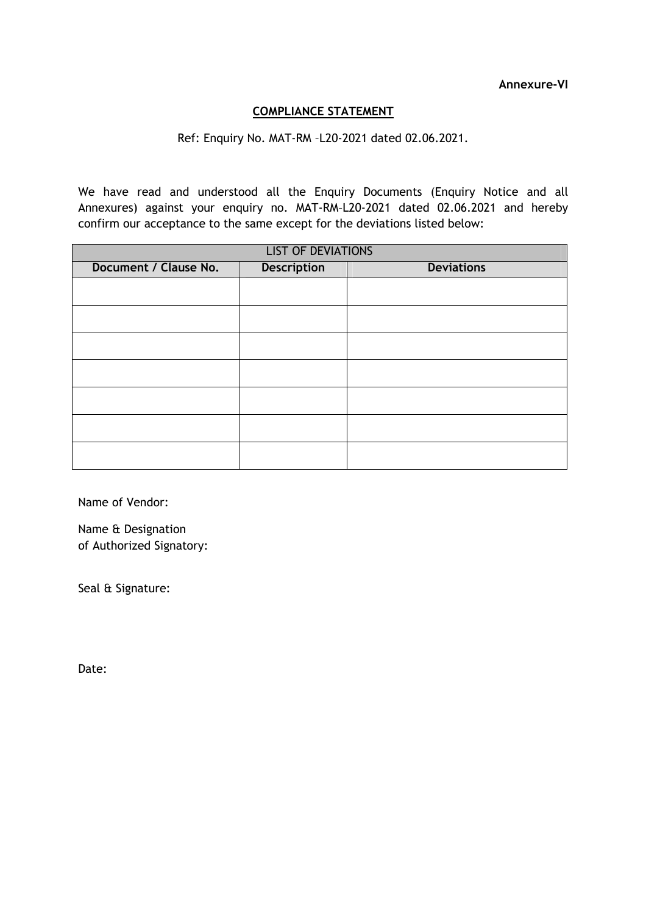# COMPLIANCE STATEMENT

# Ref: Enquiry No. MAT-RM –L20-2021 dated 02.06.2021.

We have read and understood all the Enquiry Documents (Enquiry Notice and all Annexures) against your enquiry no. MAT-RM–L20-2021 dated 02.06.2021 and hereby confirm our acceptance to the same except for the deviations listed below:

| <b>LIST OF DEVIATIONS</b> |                    |                   |  |
|---------------------------|--------------------|-------------------|--|
| Document / Clause No.     | <b>Description</b> | <b>Deviations</b> |  |
|                           |                    |                   |  |
|                           |                    |                   |  |
|                           |                    |                   |  |
|                           |                    |                   |  |
|                           |                    |                   |  |
|                           |                    |                   |  |
|                           |                    |                   |  |
|                           |                    |                   |  |

Name of Vendor:

Name & Designation of Authorized Signatory:

Seal & Signature:

Date: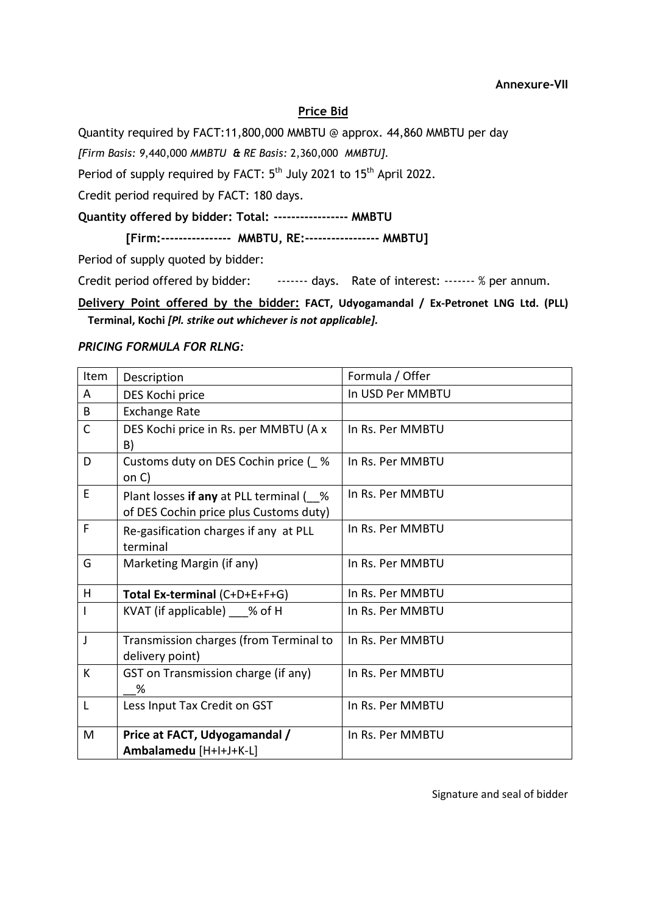#### Annexure-VII

## Price Bid

Quantity required by FACT:11,800,000 MMBTU @ approx. 44,860 MMBTU per day

[Firm Basis: 9,440,000 MMBTU & RE Basis: 2,360,000 MMBTU].

Period of supply required by FACT: 5<sup>th</sup> July 2021 to 15<sup>th</sup> April 2022.

Credit period required by FACT: 180 days.

Quantity offered by bidder: Total: ----------------- MMBTU

[Firm:---------------- MMBTU, RE:----------------- MMBTU]

Period of supply quoted by bidder:

Credit period offered by bidder: ------- days. Rate of interest: ------ % per annum.

Delivery Point offered by the bidder: FACT, Udyogamandal / Ex-Petronet LNG Ltd. (PLL) Terminal, Kochi [Pl. strike out whichever is not applicable].

#### PRICING FORMULA FOR RLNG:

| Item | Description                                                                      | Formula / Offer  |
|------|----------------------------------------------------------------------------------|------------------|
| A    | DES Kochi price                                                                  | In USD Per MMBTU |
| B    | <b>Exchange Rate</b>                                                             |                  |
| C    | DES Kochi price in Rs. per MMBTU (A x<br>B)                                      | In Rs. Per MMBTU |
| D    | Customs duty on DES Cochin price (%<br>on C)                                     | In Rs. Per MMBTU |
| E    | Plant losses if any at PLL terminal (%<br>of DES Cochin price plus Customs duty) | In Rs. Per MMBTU |
| F    | Re-gasification charges if any at PLL<br>terminal                                | In Rs. Per MMBTU |
| G    | Marketing Margin (if any)                                                        | In Rs. Per MMBTU |
| H    | Total Ex-terminal (C+D+E+F+G)                                                    | In Rs. Per MMBTU |
|      | KVAT (if applicable) % of H                                                      | In Rs. Per MMBTU |
| J    | Transmission charges (from Terminal to<br>delivery point)                        | In Rs. Per MMBTU |
| K    | GST on Transmission charge (if any)<br>%                                         | In Rs. Per MMBTU |
| L    | Less Input Tax Credit on GST                                                     | In Rs. Per MMBTU |
| M    | Price at FACT, Udyogamandal /<br>Ambalamedu [H+I+J+K-L]                          | In Rs. Per MMBTU |

Signature and seal of bidder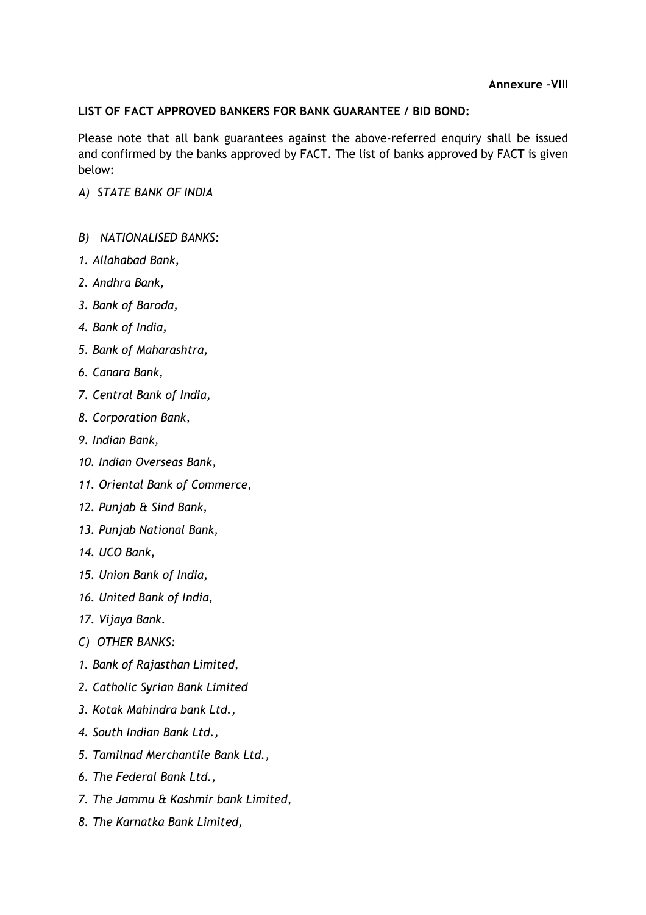# LIST OF FACT APPROVED BANKERS FOR BANK GUARANTEE / BID BOND:

Please note that all bank guarantees against the above-referred enquiry shall be issued and confirmed by the banks approved by FACT. The list of banks approved by FACT is given below:

- A) STATE BANK OF INDIA
- B) NATIONALISED BANKS:
- 1. Allahabad Bank,
- 2. Andhra Bank,
- 3. Bank of Baroda,
- 4. Bank of India,
- 5. Bank of Maharashtra,
- 6. Canara Bank,
- 7. Central Bank of India,
- 8. Corporation Bank,
- 9. Indian Bank,
- 10. Indian Overseas Bank,
- 11. Oriental Bank of Commerce,
- 12. Punjab & Sind Bank,
- 13. Punjab National Bank,
- 14. UCO Bank,
- 15. Union Bank of India,
- 16. United Bank of India,
- 17. Vijaya Bank.
- C) OTHER BANKS:
- 1. Bank of Rajasthan Limited,
- 2. Catholic Syrian Bank Limited
- 3. Kotak Mahindra bank Ltd.,
- 4. South Indian Bank Ltd.,
- 5. Tamilnad Merchantile Bank Ltd.,
- 6. The Federal Bank Ltd.,
- 7. The Jammu & Kashmir bank Limited,
- 8. The Karnatka Bank Limited,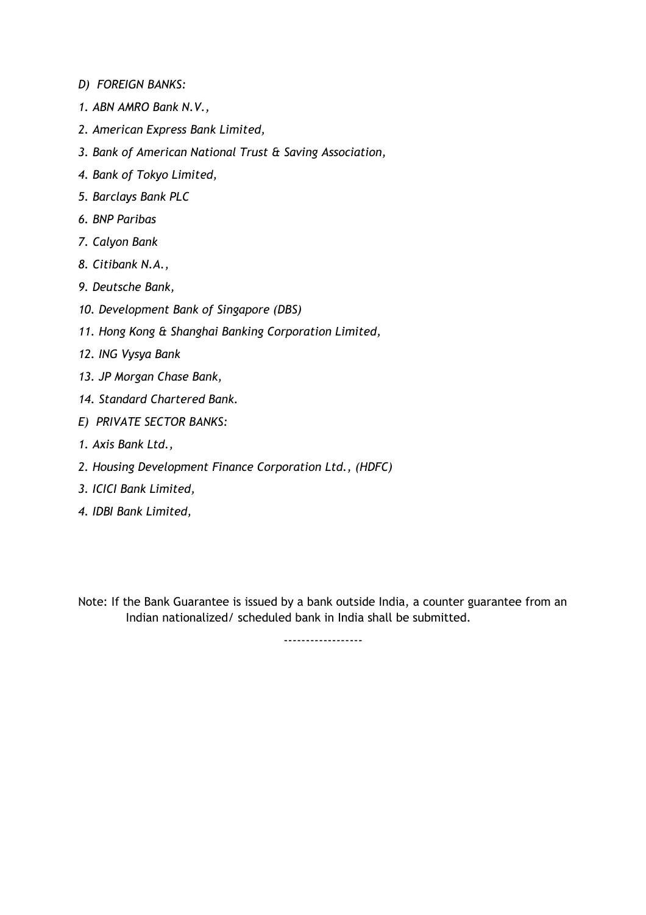- D) FOREIGN BANKS:
- 1. ABN AMRO Bank N.V.,
- 2. American Express Bank Limited,
- 3. Bank of American National Trust & Saving Association,
- 4. Bank of Tokyo Limited,
- 5. Barclays Bank PLC
- 6. BNP Paribas
- 7. Calyon Bank
- 8. Citibank N.A.,
- 9. Deutsche Bank,
- 10. Development Bank of Singapore (DBS)
- 11. Hong Kong & Shanghai Banking Corporation Limited,
- 12. ING Vysya Bank
- 13. JP Morgan Chase Bank,
- 14. Standard Chartered Bank.
- E) PRIVATE SECTOR BANKS:
- 1. Axis Bank Ltd.,
- 2. Housing Development Finance Corporation Ltd., (HDFC)
- 3. ICICI Bank Limited,
- 4. IDBI Bank Limited,

Note: If the Bank Guarantee is issued by a bank outside India, a counter guarantee from an Indian nationalized/ scheduled bank in India shall be submitted.

------------------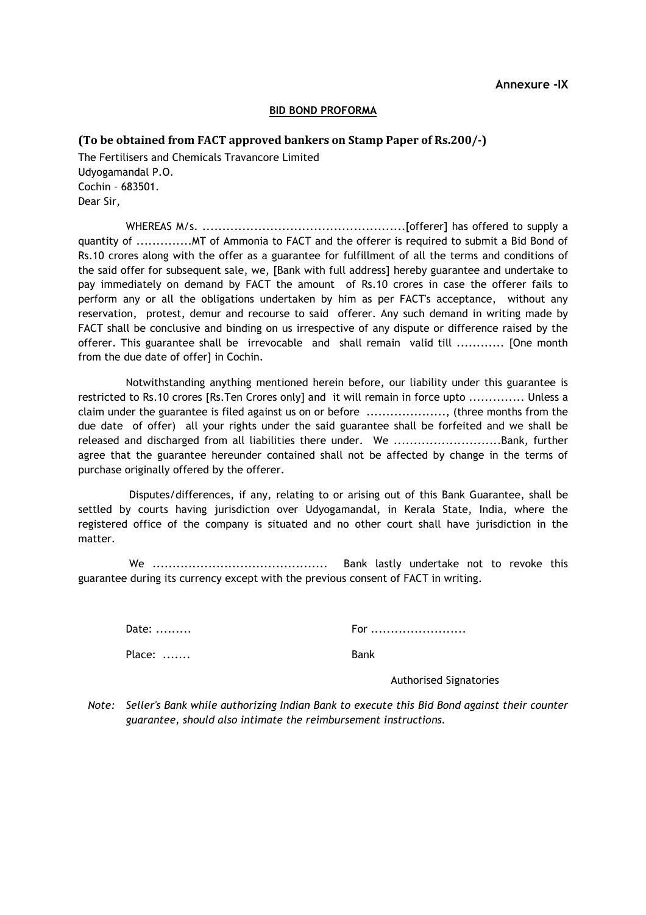#### BID BOND PROFORMA

#### (To be obtained from FACT approved bankers on Stamp Paper of Rs.200/-)

The Fertilisers and Chemicals Travancore Limited Udyogamandal P.O. Cochin – 683501. Dear Sir,

WHEREAS M/s. ...................................................[offerer] has offered to supply a quantity of ..............MT of Ammonia to FACT and the offerer is required to submit a Bid Bond of Rs.10 crores along with the offer as a guarantee for fulfillment of all the terms and conditions of the said offer for subsequent sale, we, [Bank with full address] hereby guarantee and undertake to pay immediately on demand by FACT the amount of Rs.10 crores in case the offerer fails to perform any or all the obligations undertaken by him as per FACT's acceptance, without any reservation, protest, demur and recourse to said offerer. Any such demand in writing made by FACT shall be conclusive and binding on us irrespective of any dispute or difference raised by the offerer. This guarantee shall be irrevocable and shall remain valid till ............ [One month from the due date of offer] in Cochin.

Notwithstanding anything mentioned herein before, our liability under this guarantee is restricted to Rs.10 crores [Rs.Ten Crores only] and it will remain in force upto .............. Unless a claim under the guarantee is filed against us on or before ...................., (three months from the due date of offer) all your rights under the said guarantee shall be forfeited and we shall be released and discharged from all liabilities there under. We ............................Bank, further agree that the guarantee hereunder contained shall not be affected by change in the terms of purchase originally offered by the offerer.

 Disputes/differences, if any, relating to or arising out of this Bank Guarantee, shall be settled by courts having jurisdiction over Udyogamandal, in Kerala State, India, where the registered office of the company is situated and no other court shall have jurisdiction in the matter.

 We ............................................ Bank lastly undertake not to revoke this guarantee during its currency except with the previous consent of FACT in writing.

Place: ....... Bank

Date: ......... For ........................

Authorised Signatories

 Note: Seller's Bank while authorizing Indian Bank to execute this Bid Bond against their counter guarantee, should also intimate the reimbursement instructions.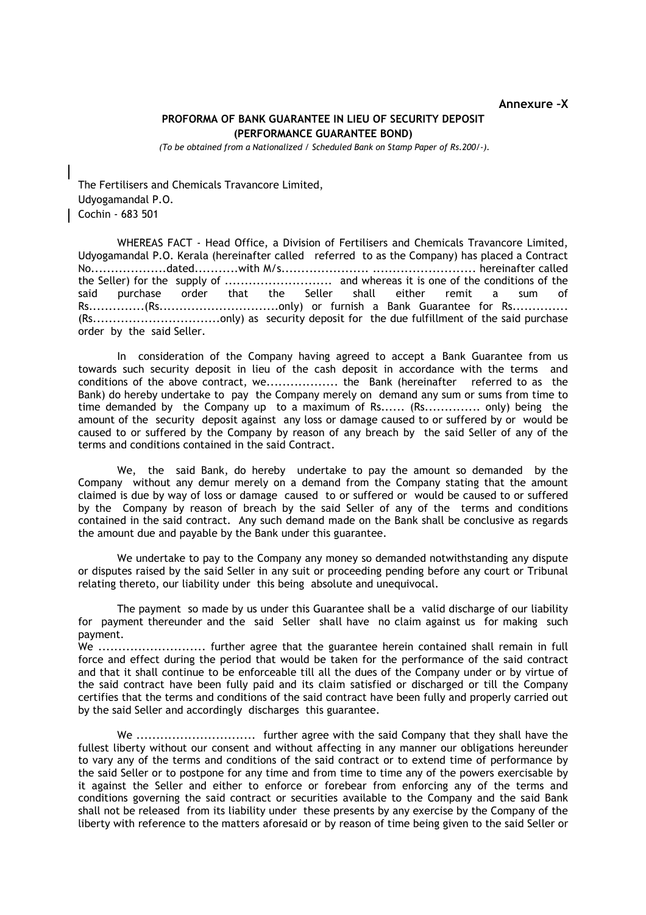#### Annexure –X

#### PROFORMA OF BANK GUARANTEE IN LIEU OF SECURITY DEPOSIT (PERFORMANCE GUARANTEE BOND)

(To be obtained from a Nationalized / Scheduled Bank on Stamp Paper of Rs.200/-).

The Fertilisers and Chemicals Travancore Limited, Udyogamandal P.O. Cochin - 683 501

 WHEREAS FACT - Head Office, a Division of Fertilisers and Chemicals Travancore Limited, Udyogamandal P.O. Kerala (hereinafter called referred to as the Company) has placed a Contract No...................dated...........with M/s...................... .......................... hereinafter called the Seller) for the supply of ........................... and whereas it is one of the conditions of the said purchase order that the Seller shall either remit a sum of Rs..............(Rs..............................only) or furnish a Bank Guarantee for Rs.............. (Rs................................only) as security deposit for the due fulfillment of the said purchase order by the said Seller.

In consideration of the Company having agreed to accept a Bank Guarantee from us towards such security deposit in lieu of the cash deposit in accordance with the terms and conditions of the above contract, we.................. the Bank (hereinafter referred to as the Bank) do hereby undertake to pay the Company merely on demand any sum or sums from time to time demanded by the Company up to a maximum of Rs...... (Rs.............. only) being the amount of the security deposit against any loss or damage caused to or suffered by or would be caused to or suffered by the Company by reason of any breach by the said Seller of any of the terms and conditions contained in the said Contract.

We, the said Bank, do hereby undertake to pay the amount so demanded by the Company without any demur merely on a demand from the Company stating that the amount claimed is due by way of loss or damage caused to or suffered or would be caused to or suffered by the Company by reason of breach by the said Seller of any of the terms and conditions contained in the said contract. Any such demand made on the Bank shall be conclusive as regards the amount due and payable by the Bank under this guarantee.

We undertake to pay to the Company any money so demanded notwithstanding any dispute or disputes raised by the said Seller in any suit or proceeding pending before any court or Tribunal relating thereto, our liability under this being absolute and unequivocal.

The payment so made by us under this Guarantee shall be a valid discharge of our liability for payment thereunder and the said Seller shall have no claim against us for making such payment.

We ........................... further agree that the guarantee herein contained shall remain in full force and effect during the period that would be taken for the performance of the said contract and that it shall continue to be enforceable till all the dues of the Company under or by virtue of the said contract have been fully paid and its claim satisfied or discharged or till the Company certifies that the terms and conditions of the said contract have been fully and properly carried out by the said Seller and accordingly discharges this guarantee.

We .............................. further agree with the said Company that they shall have the fullest liberty without our consent and without affecting in any manner our obligations hereunder to vary any of the terms and conditions of the said contract or to extend time of performance by the said Seller or to postpone for any time and from time to time any of the powers exercisable by it against the Seller and either to enforce or forebear from enforcing any of the terms and conditions governing the said contract or securities available to the Company and the said Bank shall not be released from its liability under these presents by any exercise by the Company of the liberty with reference to the matters aforesaid or by reason of time being given to the said Seller or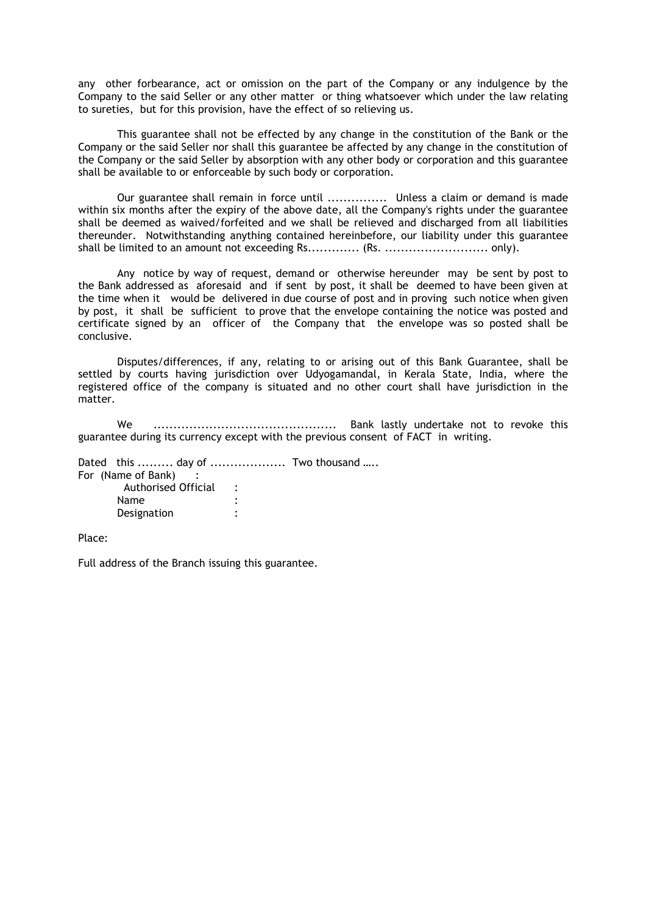any other forbearance, act or omission on the part of the Company or any indulgence by the Company to the said Seller or any other matter or thing whatsoever which under the law relating to sureties, but for this provision, have the effect of so relieving us.

This guarantee shall not be effected by any change in the constitution of the Bank or the Company or the said Seller nor shall this guarantee be affected by any change in the constitution of the Company or the said Seller by absorption with any other body or corporation and this guarantee shall be available to or enforceable by such body or corporation.

Our guarantee shall remain in force until ............... Unless a claim or demand is made within six months after the expiry of the above date, all the Company's rights under the guarantee shall be deemed as waived/forfeited and we shall be relieved and discharged from all liabilities thereunder. Notwithstanding anything contained hereinbefore, our liability under this guarantee shall be limited to an amount not exceeding Rs............. (Rs. .......................... only).

Any notice by way of request, demand or otherwise hereunder may be sent by post to the Bank addressed as aforesaid and if sent by post, it shall be deemed to have been given at the time when it would be delivered in due course of post and in proving such notice when given by post, it shall be sufficient to prove that the envelope containing the notice was posted and certificate signed by an officer of the Company that the envelope was so posted shall be conclusive.

Disputes/differences, if any, relating to or arising out of this Bank Guarantee, shall be settled by courts having jurisdiction over Udyogamandal, in Kerala State, India, where the registered office of the company is situated and no other court shall have jurisdiction in the matter.

We .............................................. Bank lastly undertake not to revoke this guarantee during its currency except with the previous consent of FACT in writing.

Dated this ......... day of ................... Two thousand ….. For (Name of Bank) :

| <b>Authorised Official</b> |  |
|----------------------------|--|
| <b>Name</b>                |  |
| Designation                |  |

Place:

Full address of the Branch issuing this guarantee.